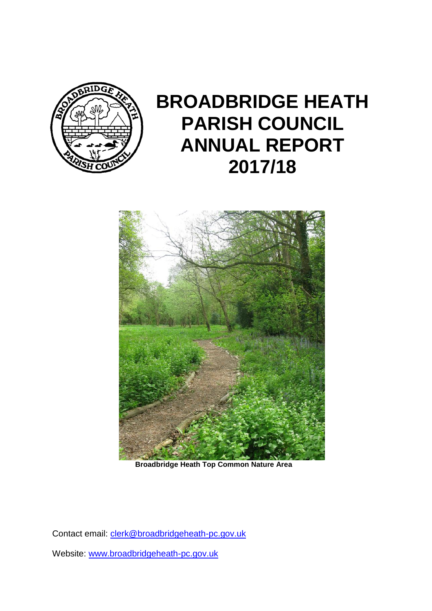

# **BROADBRIDGE HEATH PARISH COUNCIL ANNUAL REPORT 2017/18**



**Broadbridge Heath Top Common Nature Area**

Contact email: [clerk@broadbridgeheath-pc.gov.uk](mailto:clerk@broadbridgeheath-pc.gov.uk)

Website: [www.broadbridgeheath-pc.gov.uk](http://www.broadbridgeheath-pc.gov.uk/)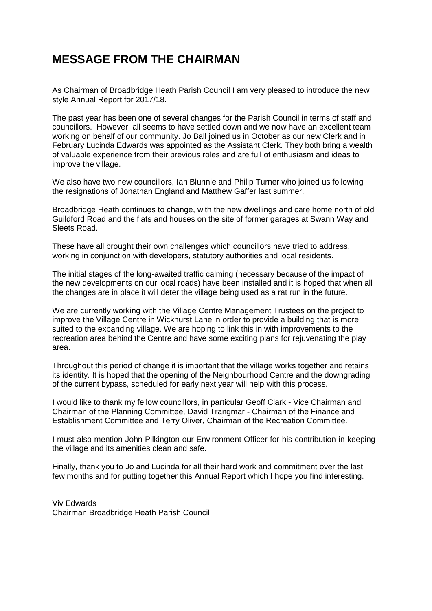### **MESSAGE FROM THE CHAIRMAN**

As Chairman of Broadbridge Heath Parish Council I am very pleased to introduce the new style Annual Report for 2017/18.

The past year has been one of several changes for the Parish Council in terms of staff and councillors. However, all seems to have settled down and we now have an excellent team working on behalf of our community. Jo Ball joined us in October as our new Clerk and in February Lucinda Edwards was appointed as the Assistant Clerk. They both bring a wealth of valuable experience from their previous roles and are full of enthusiasm and ideas to improve the village.

We also have two new councillors, Ian Blunnie and Philip Turner who joined us following the resignations of Jonathan England and Matthew Gaffer last summer.

Broadbridge Heath continues to change, with the new dwellings and care home north of old Guildford Road and the flats and houses on the site of former garages at Swann Way and Sleets Road.

These have all brought their own challenges which councillors have tried to address, working in conjunction with developers, statutory authorities and local residents.

The initial stages of the long-awaited traffic calming (necessary because of the impact of the new developments on our local roads) have been installed and it is hoped that when all the changes are in place it will deter the village being used as a rat run in the future.

We are currently working with the Village Centre Management Trustees on the project to improve the Village Centre in Wickhurst Lane in order to provide a building that is more suited to the expanding village. We are hoping to link this in with improvements to the recreation area behind the Centre and have some exciting plans for rejuvenating the play area.

Throughout this period of change it is important that the village works together and retains its identity. It is hoped that the opening of the Neighbourhood Centre and the downgrading of the current bypass, scheduled for early next year will help with this process.

I would like to thank my fellow councillors, in particular Geoff Clark - Vice Chairman and Chairman of the Planning Committee, David Trangmar - Chairman of the Finance and Establishment Committee and Terry Oliver, Chairman of the Recreation Committee.

I must also mention John Pilkington our Environment Officer for his contribution in keeping the village and its amenities clean and safe.

Finally, thank you to Jo and Lucinda for all their hard work and commitment over the last few months and for putting together this Annual Report which I hope you find interesting.

Viv Edwards Chairman Broadbridge Heath Parish Council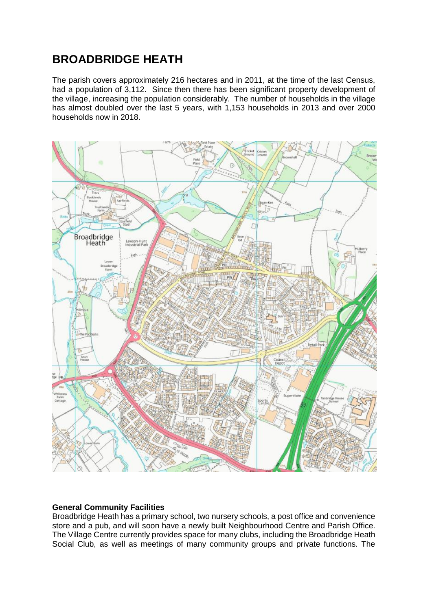### **BROADBRIDGE HEATH**

The parish covers approximately 216 hectares and in 2011, at the time of the last Census, had a population of 3,112. Since then there has been significant property development of the village, increasing the population considerably. The number of households in the village has almost doubled over the last 5 years, with 1,153 households in 2013 and over 2000 households now in 2018.



#### **General Community Facilities**

Broadbridge Heath has a primary school, two nursery schools, a post office and convenience store and a pub, and will soon have a newly built Neighbourhood Centre and Parish Office. The Village Centre currently provides space for many clubs, including the Broadbridge Heath Social Club, as well as meetings of many community groups and private functions. The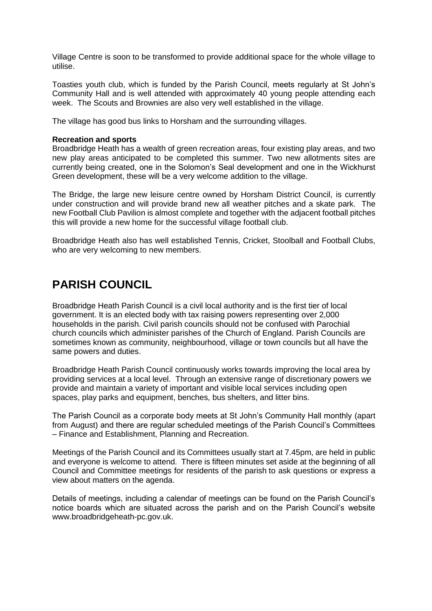Village Centre is soon to be transformed to provide additional space for the whole village to utilise.

Toasties youth club, which is funded by the Parish Council, meets regularly at St John's Community Hall and is well attended with approximately 40 young people attending each week. The Scouts and Brownies are also very well established in the village.

The village has good bus links to Horsham and the surrounding villages.

#### **Recreation and sports**

Broadbridge Heath has a wealth of green recreation areas, four existing play areas, and two new play areas anticipated to be completed this summer. Two new allotments sites are currently being created, one in the Solomon's Seal development and one in the Wickhurst Green development, these will be a very welcome addition to the village.

The Bridge, the large new leisure centre owned by Horsham District Council, is currently under construction and will provide brand new all weather pitches and a skate park. The new Football Club Pavilion is almost complete and together with the adjacent football pitches this will provide a new home for the successful village football club.

Broadbridge Heath also has well established Tennis, Cricket, Stoolball and Football Clubs, who are very welcoming to new members.

### **PARISH COUNCIL**

Broadbridge Heath Parish Council is a civil local authority and is the first tier of local government. It is an elected body with tax raising powers representing over 2,000 households in the parish. Civil parish councils should not be confused with Parochial church councils which administer parishes of the Church of England. Parish Councils are sometimes known as community, neighbourhood, village or town councils but all have the same powers and duties.

Broadbridge Heath Parish Council continuously works towards improving the local area by providing services at a local level. Through an extensive range of discretionary powers we provide and maintain a variety of important and visible local services including open spaces, play parks and equipment, benches, bus shelters, and litter bins.

The Parish Council as a corporate body meets at St John's Community Hall monthly (apart from August) and there are regular scheduled meetings of the Parish Council's Committees – Finance and Establishment, Planning and Recreation.

Meetings of the Parish Council and its Committees usually start at 7.45pm, are held in public and everyone is welcome to attend. There is fifteen minutes set aside at the beginning of all Council and Committee meetings for residents of the parish to ask questions or express a view about matters on the agenda.

Details of meetings, including a calendar of meetings can be found on the Parish Council's notice boards which are situated across the parish and on the Parish Council's website www.broadbridgeheath-pc.gov.uk.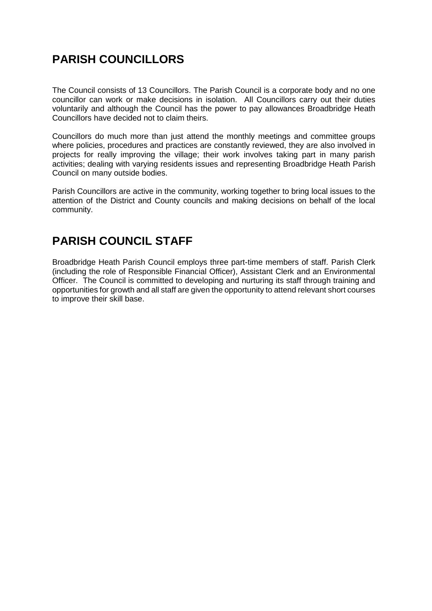### **PARISH COUNCILLORS**

The Council consists of 13 Councillors. The Parish Council is a corporate body and no one councillor can work or make decisions in isolation. All Councillors carry out their duties voluntarily and although the Council has the power to pay allowances Broadbridge Heath Councillors have decided not to claim theirs.

Councillors do much more than just attend the monthly meetings and committee groups where policies, procedures and practices are constantly reviewed, they are also involved in projects for really improving the village; their work involves taking part in many parish activities; dealing with varying residents issues and representing Broadbridge Heath Parish Council on many outside bodies.

Parish Councillors are active in the community, working together to bring local issues to the attention of the District and County councils and making decisions on behalf of the local community.

### **PARISH COUNCIL STAFF**

Broadbridge Heath Parish Council employs three part-time members of staff. Parish Clerk (including the role of Responsible Financial Officer), Assistant Clerk and an Environmental Officer. The Council is committed to developing and nurturing its staff through training and opportunities for growth and all staff are given the opportunity to attend relevant short courses to improve their skill base.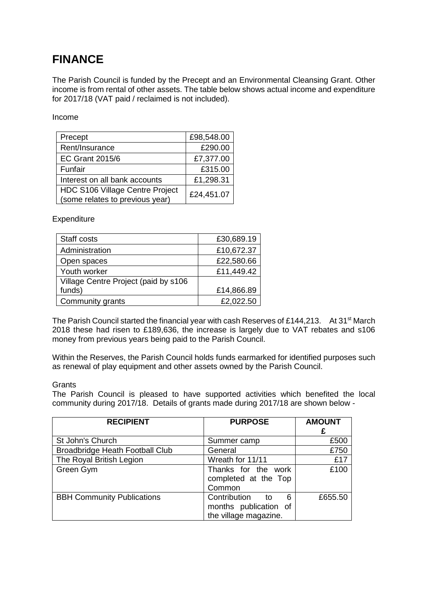## **FINANCE**

The Parish Council is funded by the Precept and an Environmental Cleansing Grant. Other income is from rental of other assets. The table below shows actual income and expenditure for 2017/18 (VAT paid / reclaimed is not included).

#### Income

| Precept                                       | £98,548.00 |
|-----------------------------------------------|------------|
| Rent/Insurance                                | £290.00    |
| <b>EC Grant 2015/6</b>                        | £7,377.00  |
| Funfair                                       | £315.00    |
| Interest on all bank accounts                 | £1,298.31  |
| HDC S106 Village Centre Project<br>£24,451.07 |            |
| (some relates to previous year)               |            |

#### **Expenditure**

| Staff costs                          | £30,689.19 |
|--------------------------------------|------------|
| Administration                       | £10,672.37 |
| Open spaces                          | £22,580.66 |
| Youth worker                         | £11,449.42 |
| Village Centre Project (paid by s106 |            |
| funds)                               | £14,866.89 |
| Community grants                     | £2,022.50  |

The Parish Council started the financial year with cash Reserves of £144,213. At 31<sup>st</sup> March 2018 these had risen to £189,636, the increase is largely due to VAT rebates and s106 money from previous years being paid to the Parish Council.

Within the Reserves, the Parish Council holds funds earmarked for identified purposes such as renewal of play equipment and other assets owned by the Parish Council.

#### **Grants**

The Parish Council is pleased to have supported activities which benefited the local community during 2017/18. Details of grants made during 2017/18 are shown below -

| <b>RECIPIENT</b>                       | <b>PURPOSE</b>                                                         | <b>AMOUNT</b> |
|----------------------------------------|------------------------------------------------------------------------|---------------|
| St John's Church                       | Summer camp                                                            | £500          |
| <b>Broadbridge Heath Football Club</b> | General                                                                | £750          |
| The Royal British Legion               | Wreath for 11/11                                                       | £17           |
| Green Gym                              | Thanks for the work<br>completed at the Top<br>Common                  | £100          |
| <b>BBH Community Publications</b>      | Contribution to<br>6<br>months publication of<br>the village magazine. | £655.50       |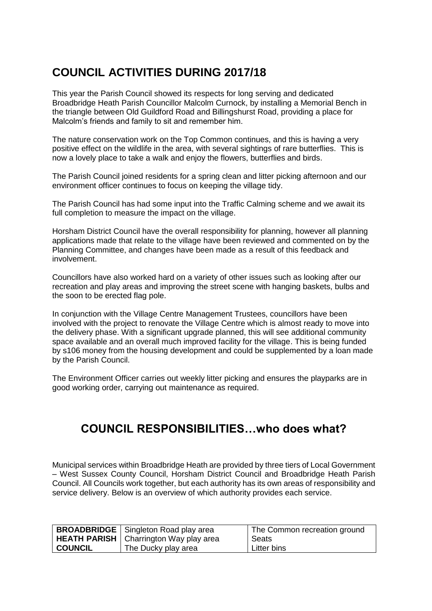# **COUNCIL ACTIVITIES DURING 2017/18**

This year the Parish Council showed its respects for long serving and dedicated Broadbridge Heath Parish Councillor Malcolm Curnock, by installing a Memorial Bench in the triangle between Old Guildford Road and Billingshurst Road, providing a place for Malcolm's friends and family to sit and remember him.

The nature conservation work on the Top Common continues, and this is having a very positive effect on the wildlife in the area, with several sightings of rare butterflies. This is now a lovely place to take a walk and enjoy the flowers, butterflies and birds.

The Parish Council joined residents for a spring clean and litter picking afternoon and our environment officer continues to focus on keeping the village tidy.

The Parish Council has had some input into the Traffic Calming scheme and we await its full completion to measure the impact on the village.

Horsham District Council have the overall responsibility for planning, however all planning applications made that relate to the village have been reviewed and commented on by the Planning Committee, and changes have been made as a result of this feedback and involvement.

Councillors have also worked hard on a variety of other issues such as looking after our recreation and play areas and improving the street scene with hanging baskets, bulbs and the soon to be erected flag pole.

In conjunction with the Village Centre Management Trustees, councillors have been involved with the project to renovate the Village Centre which is almost ready to move into the delivery phase. With a significant upgrade planned, this will see additional community space available and an overall much improved facility for the village. This is being funded by s106 money from the housing development and could be supplemented by a loan made by the Parish Council.

The Environment Officer carries out weekly litter picking and ensures the playparks are in good working order, carrying out maintenance as required.

### **COUNCIL RESPONSIBILITIES…who does what?**

Municipal services within Broadbridge Heath are provided by three tiers of Local Government – West Sussex County Council, Horsham District Council and Broadbridge Heath Parish Council. All Councils work together, but each authority has its own areas of responsibility and service delivery. Below is an overview of which authority provides each service.

|                | <b>BROADBRIDGE</b>   Singleton Road play area | The Common recreation ground |
|----------------|-----------------------------------------------|------------------------------|
|                | HEATH PARISH   Charrington Way play area      | Seats                        |
| <b>COUNCIL</b> | The Ducky play area                           | Litter bins                  |